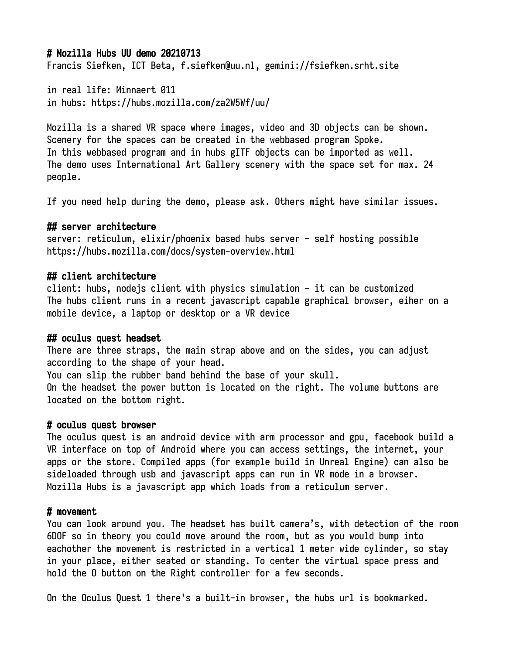## # Mozilla Hubs UU demo 20210713

Francis Siefken, ICT Beta, f.siefken@uu.nl, gemini://fsiefken.srht.site

in real life: Minnaert 011 in hubs: https://hubs.mozilla.com/za2W5Wf/uu/

Mozilla is a shared VR space where images, video and 3D objects can be shown. Scenery for the spaces can be created in the webbased program Spoke. In this webbased program and in hubs gITF objects can be imported as well. The demo uses International Art Gallery scenery with the space set for max. 24 people.

If you need help during the demo, please ask. Others might have similar issues.

## ## server architecture

server: reticulum, elixir/phoenix based hubs server - self hosting possible https://hubs.mozilla.com/docs/system-overview.html

## ## client architecture

client: hubs, nodejs client with physics simulation - it can be customized The hubs client runs in a recent javascript capable graphical browser, eiher on a mobile device, a laptop or desktop or a VR device

#### ## oculus quest headset

There are three straps, the main strap above and on the sides, you can adjust according to the shape of your head. You can slip the rubber band behind the base of your skull. On the headset the power button is located on the right. The volume buttons are located on the bottom right.

#### # oculus quest browser

The oculus quest is an android device with arm processor and gpu, facebook build a VR interface on top of Android where you can access settings, the internet, your apps or the store. Compiled apps (for example build in Unreal Engine) can also be sideloaded through usb and javascript apps can run in VR mode in a browser. Mozilla Hubs is a javascript app which loads from a reticulum server.

#### # movement

You can look around you. The headset has built camera's, with detection of the room 6DOF so in theory you could move around the room, but as you would bump into eachother the movement is restricted in a vertical 1 meter wide cylinder, so stay in your place, either seated or standing. To center the virtual space press and hold the O button on the Right controller for a few seconds.

On the Oculus Quest 1 there's a built-in browser, the hubs url is bookmarked.